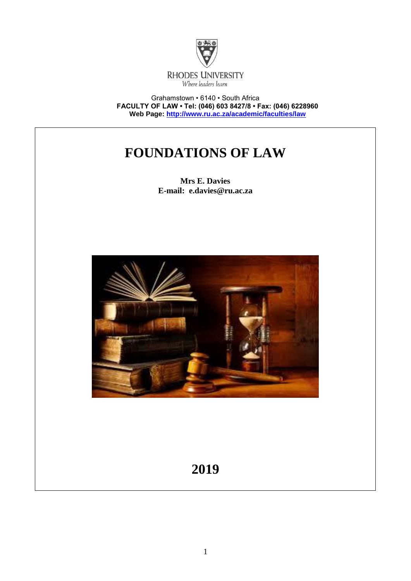

Grahamstown • 6140 • South Africa **FACULTY OF LAW • Tel: (046) 603 8427/8 • Fax: (046) 6228960 Web Page:<http://www.ru.ac.za/academic/faculties/law>**

# **FOUNDATIONS OF LAW**

**Mrs E. Davies E-mail: e.davies@ru.ac.za**



# **2019**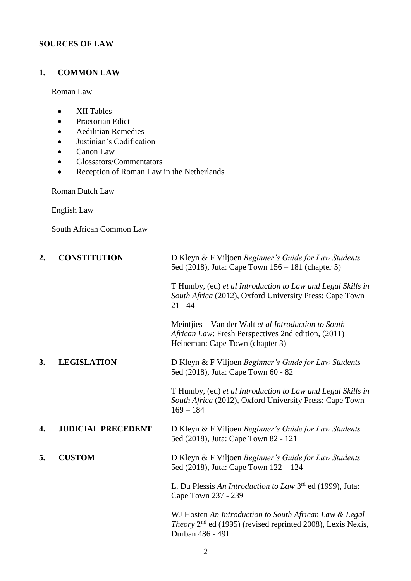### **SOURCES OF LAW**

### **1. COMMON LAW**

Roman Law

- XII Tables
- Praetorian Edict
- Aedilitian Remedies
- Justinian's Codification
- Canon Law
- Glossators/Commentators
- Reception of Roman Law in the Netherlands

Roman Dutch Law

English Law

South African Common Law

| 2. | <b>CONSTITUTION</b>       | D Kleyn & F Viljoen Beginner's Guide for Law Students<br>5ed (2018), Juta: Cape Town 156 – 181 (chapter 5)                                         |
|----|---------------------------|----------------------------------------------------------------------------------------------------------------------------------------------------|
|    |                           | T Humby, (ed) et al Introduction to Law and Legal Skills in<br>South Africa (2012), Oxford University Press: Cape Town<br>$21 - 44$                |
|    |                           | Meintjies – Van der Walt et al Introduction to South<br>African Law: Fresh Perspectives 2nd edition, (2011)<br>Heineman: Cape Town (chapter 3)     |
| 3. | <b>LEGISLATION</b>        | D Kleyn & F Viljoen Beginner's Guide for Law Students<br>5ed (2018), Juta: Cape Town 60 - 82                                                       |
|    |                           | T Humby, (ed) et al Introduction to Law and Legal Skills in<br>South Africa (2012), Oxford University Press: Cape Town<br>$169 - 184$              |
| 4. | <b>JUDICIAL PRECEDENT</b> | D Kleyn & F Viljoen Beginner's Guide for Law Students<br>5ed (2018), Juta: Cape Town 82 - 121                                                      |
| 5. | <b>CUSTOM</b>             | D Kleyn & F Viljoen Beginner's Guide for Law Students<br>5ed (2018), Juta: Cape Town 122 – 124                                                     |
|    |                           | L. Du Plessis An Introduction to Law 3 <sup>rd</sup> ed (1999), Juta:<br>Cape Town 237 - 239                                                       |
|    |                           | WJ Hosten An Introduction to South African Law & Legal<br><i>Theory</i> $2nd$ ed (1995) (revised reprinted 2008), Lexis Nexis,<br>Durban 486 - 491 |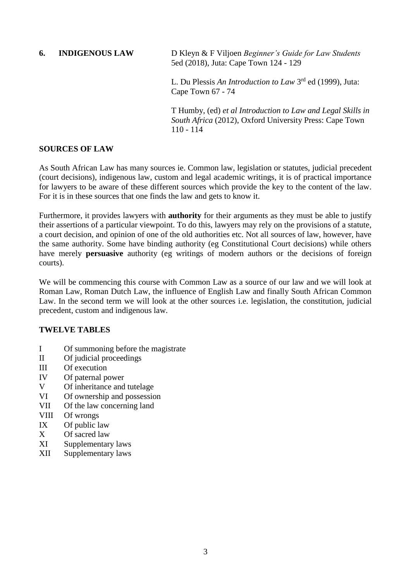#### **6. INDIGENOUS LAW** D Kleyn & F Viljoen *Beginner's Guide for Law Students*  5ed (2018), Juta: Cape Town 124 - 129

L. Du Plessis *An Introduction to Law* 3<sup>rd</sup> ed (1999), Juta: Cape Town 67 - 74

T Humby, (ed) *et al Introduction to Law and Legal Skills in South Africa* (2012), Oxford University Press: Cape Town 110 - 114

### **SOURCES OF LAW**

As South African Law has many sources ie. Common law, legislation or statutes, judicial precedent (court decisions), indigenous law, custom and legal academic writings, it is of practical importance for lawyers to be aware of these different sources which provide the key to the content of the law. For it is in these sources that one finds the law and gets to know it.

Furthermore, it provides lawyers with **authority** for their arguments as they must be able to justify their assertions of a particular viewpoint. To do this, lawyers may rely on the provisions of a statute, a court decision, and opinion of one of the old authorities etc. Not all sources of law, however, have the same authority. Some have binding authority (eg Constitutional Court decisions) while others have merely **persuasive** authority (eg writings of modern authors or the decisions of foreign courts).

We will be commencing this course with Common Law as a source of our law and we will look at Roman Law, Roman Dutch Law, the influence of English Law and finally South African Common Law. In the second term we will look at the other sources i.e. legislation, the constitution, judicial precedent, custom and indigenous law.

### **TWELVE TABLES**

- I Of summoning before the magistrate
- II Of judicial proceedings
- III Of execution
- IV Of paternal power
- V Of inheritance and tutelage
- VI Of ownership and possession
- VII Of the law concerning land
- VIII Of wrongs
- IX Of public law
- X Of sacred law
- XI Supplementary laws
- XII Supplementary laws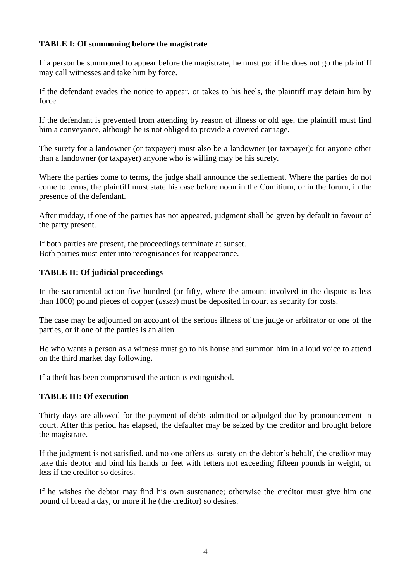### **TABLE I: Of summoning before the magistrate**

If a person be summoned to appear before the magistrate, he must go: if he does not go the plaintiff may call witnesses and take him by force.

If the defendant evades the notice to appear, or takes to his heels, the plaintiff may detain him by force.

If the defendant is prevented from attending by reason of illness or old age, the plaintiff must find him a conveyance, although he is not obliged to provide a covered carriage.

The surety for a landowner (or taxpayer) must also be a landowner (or taxpayer): for anyone other than a landowner (or taxpayer) anyone who is willing may be his surety.

Where the parties come to terms, the judge shall announce the settlement. Where the parties do not come to terms, the plaintiff must state his case before noon in the Comitium, or in the forum, in the presence of the defendant.

After midday, if one of the parties has not appeared, judgment shall be given by default in favour of the party present.

If both parties are present, the proceedings terminate at sunset. Both parties must enter into recognisances for reappearance.

### **TABLE II: Of judicial proceedings**

In the sacramental action five hundred (or fifty, where the amount involved in the dispute is less than 1000) pound pieces of copper (*asses*) must be deposited in court as security for costs.

The case may be adjourned on account of the serious illness of the judge or arbitrator or one of the parties, or if one of the parties is an alien.

He who wants a person as a witness must go to his house and summon him in a loud voice to attend on the third market day following.

If a theft has been compromised the action is extinguished.

#### **TABLE III: Of execution**

Thirty days are allowed for the payment of debts admitted or adjudged due by pronouncement in court. After this period has elapsed, the defaulter may be seized by the creditor and brought before the magistrate.

If the judgment is not satisfied, and no one offers as surety on the debtor's behalf, the creditor may take this debtor and bind his hands or feet with fetters not exceeding fifteen pounds in weight, or less if the creditor so desires.

If he wishes the debtor may find his own sustenance; otherwise the creditor must give him one pound of bread a day, or more if he (the creditor) so desires.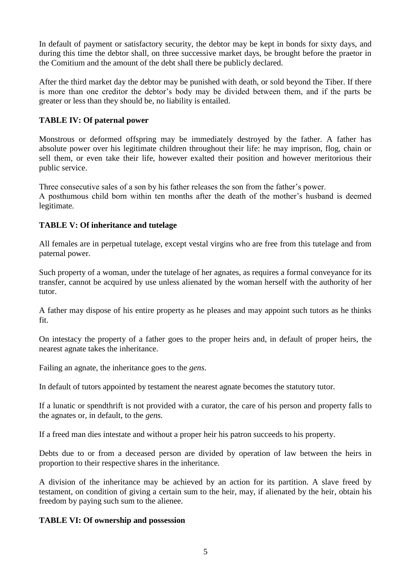In default of payment or satisfactory security, the debtor may be kept in bonds for sixty days, and during this time the debtor shall, on three successive market days, be brought before the praetor in the Comitium and the amount of the debt shall there be publicly declared.

After the third market day the debtor may be punished with death, or sold beyond the Tiber. If there is more than one creditor the debtor's body may be divided between them, and if the parts be greater or less than they should be, no liability is entailed.

### **TABLE IV: Of paternal power**

Monstrous or deformed offspring may be immediately destroyed by the father. A father has absolute power over his legitimate children throughout their life: he may imprison, flog, chain or sell them, or even take their life, however exalted their position and however meritorious their public service.

Three consecutive sales of a son by his father releases the son from the father's power.

A posthumous child born within ten months after the death of the mother's husband is deemed legitimate.

### **TABLE V: Of inheritance and tutelage**

All females are in perpetual tutelage, except vestal virgins who are free from this tutelage and from paternal power.

Such property of a woman, under the tutelage of her agnates, as requires a formal conveyance for its transfer, cannot be acquired by use unless alienated by the woman herself with the authority of her tutor.

A father may dispose of his entire property as he pleases and may appoint such tutors as he thinks fit.

On intestacy the property of a father goes to the proper heirs and, in default of proper heirs, the nearest agnate takes the inheritance.

Failing an agnate, the inheritance goes to the *gens*.

In default of tutors appointed by testament the nearest agnate becomes the statutory tutor.

If a lunatic or spendthrift is not provided with a curator, the care of his person and property falls to the agnates or, in default, to the *gens.*

If a freed man dies intestate and without a proper heir his patron succeeds to his property.

Debts due to or from a deceased person are divided by operation of law between the heirs in proportion to their respective shares in the inheritance.

A division of the inheritance may be achieved by an action for its partition. A slave freed by testament, on condition of giving a certain sum to the heir, may, if alienated by the heir, obtain his freedom by paying such sum to the alienee.

### **TABLE VI: Of ownership and possession**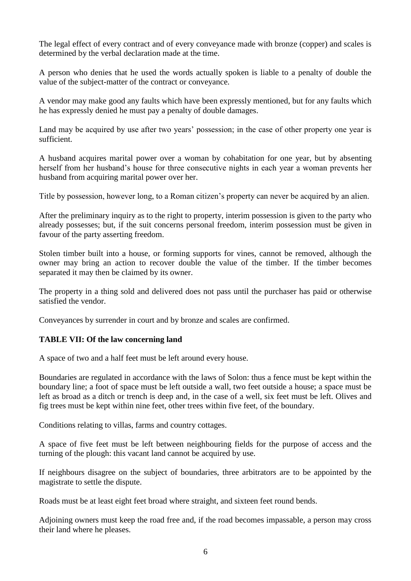The legal effect of every contract and of every conveyance made with bronze (copper) and scales is determined by the verbal declaration made at the time.

A person who denies that he used the words actually spoken is liable to a penalty of double the value of the subject-matter of the contract or conveyance.

A vendor may make good any faults which have been expressly mentioned, but for any faults which he has expressly denied he must pay a penalty of double damages.

Land may be acquired by use after two years' possession; in the case of other property one year is sufficient.

A husband acquires marital power over a woman by cohabitation for one year, but by absenting herself from her husband's house for three consecutive nights in each year a woman prevents her husband from acquiring marital power over her.

Title by possession, however long, to a Roman citizen's property can never be acquired by an alien.

After the preliminary inquiry as to the right to property, interim possession is given to the party who already possesses; but, if the suit concerns personal freedom, interim possession must be given in favour of the party asserting freedom.

Stolen timber built into a house, or forming supports for vines, cannot be removed, although the owner may bring an action to recover double the value of the timber. If the timber becomes separated it may then be claimed by its owner.

The property in a thing sold and delivered does not pass until the purchaser has paid or otherwise satisfied the vendor.

Conveyances by surrender in court and by bronze and scales are confirmed.

### **TABLE VII: Of the law concerning land**

A space of two and a half feet must be left around every house.

Boundaries are regulated in accordance with the laws of Solon: thus a fence must be kept within the boundary line; a foot of space must be left outside a wall, two feet outside a house; a space must be left as broad as a ditch or trench is deep and, in the case of a well, six feet must be left. Olives and fig trees must be kept within nine feet, other trees within five feet, of the boundary.

Conditions relating to villas, farms and country cottages.

A space of five feet must be left between neighbouring fields for the purpose of access and the turning of the plough: this vacant land cannot be acquired by use.

If neighbours disagree on the subject of boundaries, three arbitrators are to be appointed by the magistrate to settle the dispute.

Roads must be at least eight feet broad where straight, and sixteen feet round bends.

Adjoining owners must keep the road free and, if the road becomes impassable, a person may cross their land where he pleases.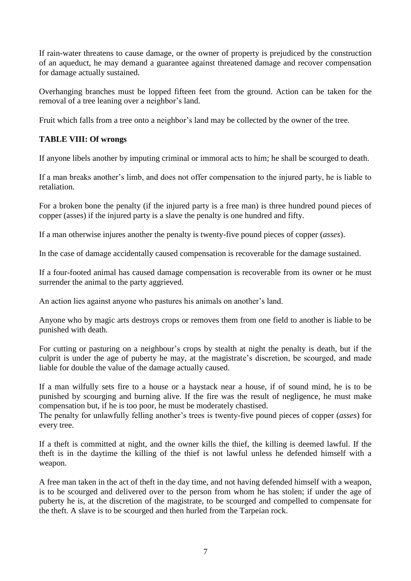If rain-water threatens to cause damage, or the owner of property is prejudiced by the construction of an aqueduct, he may demand a guarantee against threatened damage and recover compensation for damage actually sustained.

Overhanging branches must be lopped fifteen feet from the ground. Action can be taken for the removal of a tree leaning over a neighbor's land.

Fruit which falls from a tree onto a neighbor's land may be collected by the owner of the tree.

### **TABLE VIII: Of wrongs**

If anyone libels another by imputing criminal or immoral acts to him; he shall be scourged to death.

If a man breaks another's limb, and does not offer compensation to the injured party, he is liable to retaliation.

For a broken bone the penalty (if the injured party is a free man) is three hundred pound pieces of copper (asses) if the injured party is a slave the penalty is one hundred and fifty.

If a man otherwise injures another the penalty is twenty-five pound pieces of copper (*asses*).

In the case of damage accidentally caused compensation is recoverable for the damage sustained.

If a four-footed animal has caused damage compensation is recoverable from its owner or he must surrender the animal to the party aggrieved.

An action lies against anyone who pastures his animals on another's land.

Anyone who by magic arts destroys crops or removes them from one field to another is liable to be punished with death.

For cutting or pasturing on a neighbour's crops by stealth at night the penalty is death, but if the culprit is under the age of puberty he may, at the magistrate's discretion, be scourged, and made liable for double the value of the damage actually caused.

If a man wilfully sets fire to a house or a haystack near a house, if of sound mind, he is to be punished by scourging and burning alive. If the fire was the result of negligence, he must make compensation but, if he is too poor, he must be moderately chastised.

The penalty for unlawfully felling another's trees is twenty-five pound pieces of copper (*asses*) for every tree.

If a theft is committed at night, and the owner kills the thief, the killing is deemed lawful. If the theft is in the daytime the killing of the thief is not lawful unless he defended himself with a weapon.

A free man taken in the act of theft in the day time, and not having defended himself with a weapon, is to be scourged and delivered over to the person from whom he has stolen; if under the age of puberty he is, at the discretion of the magistrate, to be scourged and compelled to compensate for the theft. A slave is to be scourged and then hurled from the Tarpeian rock.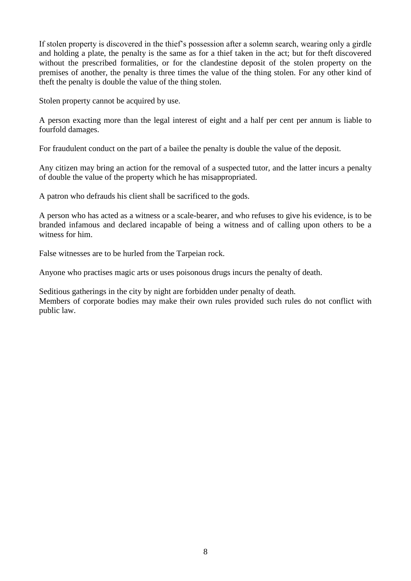If stolen property is discovered in the thief's possession after a solemn search, wearing only a girdle and holding a plate, the penalty is the same as for a thief taken in the act; but for theft discovered without the prescribed formalities, or for the clandestine deposit of the stolen property on the premises of another, the penalty is three times the value of the thing stolen. For any other kind of theft the penalty is double the value of the thing stolen.

Stolen property cannot be acquired by use.

A person exacting more than the legal interest of eight and a half per cent per annum is liable to fourfold damages.

For fraudulent conduct on the part of a bailee the penalty is double the value of the deposit.

Any citizen may bring an action for the removal of a suspected tutor, and the latter incurs a penalty of double the value of the property which he has misappropriated.

A patron who defrauds his client shall be sacrificed to the gods.

A person who has acted as a witness or a scale-bearer, and who refuses to give his evidence, is to be branded infamous and declared incapable of being a witness and of calling upon others to be a witness for him.

False witnesses are to be hurled from the Tarpeian rock.

Anyone who practises magic arts or uses poisonous drugs incurs the penalty of death.

Seditious gatherings in the city by night are forbidden under penalty of death. Members of corporate bodies may make their own rules provided such rules do not conflict with public law.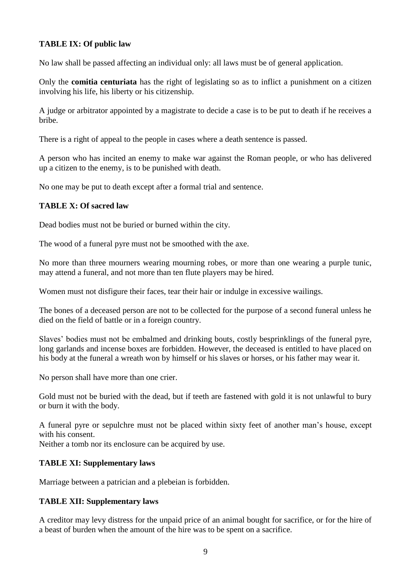### **TABLE IX: Of public law**

No law shall be passed affecting an individual only: all laws must be of general application.

Only the **comitia centuriata** has the right of legislating so as to inflict a punishment on a citizen involving his life, his liberty or his citizenship.

A judge or arbitrator appointed by a magistrate to decide a case is to be put to death if he receives a bribe.

There is a right of appeal to the people in cases where a death sentence is passed.

A person who has incited an enemy to make war against the Roman people, or who has delivered up a citizen to the enemy, is to be punished with death.

No one may be put to death except after a formal trial and sentence.

### **TABLE X: Of sacred law**

Dead bodies must not be buried or burned within the city.

The wood of a funeral pyre must not be smoothed with the axe.

No more than three mourners wearing mourning robes, or more than one wearing a purple tunic, may attend a funeral, and not more than ten flute players may be hired.

Women must not disfigure their faces, tear their hair or indulge in excessive wailings.

The bones of a deceased person are not to be collected for the purpose of a second funeral unless he died on the field of battle or in a foreign country.

Slaves' bodies must not be embalmed and drinking bouts, costly besprinklings of the funeral pyre, long garlands and incense boxes are forbidden. However, the deceased is entitled to have placed on his body at the funeral a wreath won by himself or his slaves or horses, or his father may wear it.

No person shall have more than one crier.

Gold must not be buried with the dead, but if teeth are fastened with gold it is not unlawful to bury or burn it with the body.

A funeral pyre or sepulchre must not be placed within sixty feet of another man's house, except with his consent.

Neither a tomb nor its enclosure can be acquired by use.

### **TABLE XI: Supplementary laws**

Marriage between a patrician and a plebeian is forbidden.

### **TABLE XII: Supplementary laws**

A creditor may levy distress for the unpaid price of an animal bought for sacrifice, or for the hire of a beast of burden when the amount of the hire was to be spent on a sacrifice.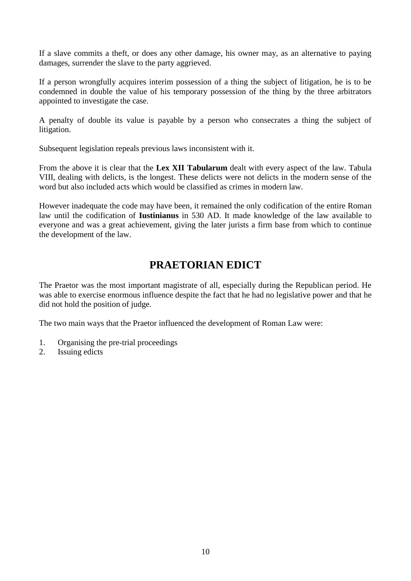If a slave commits a theft, or does any other damage, his owner may, as an alternative to paying damages, surrender the slave to the party aggrieved.

If a person wrongfully acquires interim possession of a thing the subject of litigation, he is to be condemned in double the value of his temporary possession of the thing by the three arbitrators appointed to investigate the case.

A penalty of double its value is payable by a person who consecrates a thing the subject of litigation.

Subsequent legislation repeals previous laws inconsistent with it.

From the above it is clear that the **Lex XII Tabularum** dealt with every aspect of the law. Tabula VIII, dealing with delicts, is the longest. These delicts were not delicts in the modern sense of the word but also included acts which would be classified as crimes in modern law.

However inadequate the code may have been, it remained the only codification of the entire Roman law until the codification of **Iustinianus** in 530 AD. It made knowledge of the law available to everyone and was a great achievement, giving the later jurists a firm base from which to continue the development of the law.

# **PRAETORIAN EDICT**

The Praetor was the most important magistrate of all, especially during the Republican period. He was able to exercise enormous influence despite the fact that he had no legislative power and that he did not hold the position of judge.

The two main ways that the Praetor influenced the development of Roman Law were:

- 1. Organising the pre-trial proceedings
- 2. Issuing edicts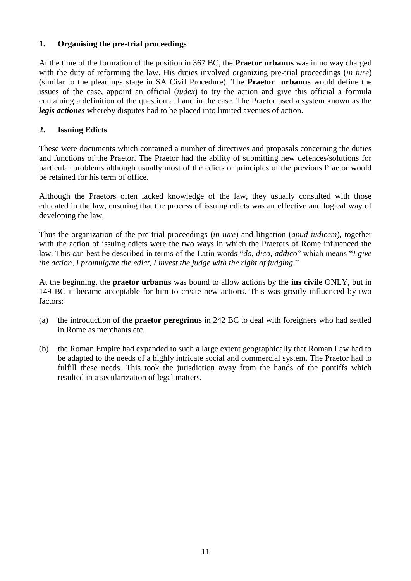### **1. Organising the pre-trial proceedings**

At the time of the formation of the position in 367 BC, the **Praetor urbanus** was in no way charged with the duty of reforming the law. His duties involved organizing pre-trial proceedings (*in iure*) (similar to the pleadings stage in SA Civil Procedure). The **Praetor urbanus** would define the issues of the case, appoint an official (*iudex*) to try the action and give this official a formula containing a definition of the question at hand in the case. The Praetor used a system known as the *legis actiones* whereby disputes had to be placed into limited avenues of action.

### **2. Issuing Edicts**

These were documents which contained a number of directives and proposals concerning the duties and functions of the Praetor. The Praetor had the ability of submitting new defences/solutions for particular problems although usually most of the edicts or principles of the previous Praetor would be retained for his term of office.

Although the Praetors often lacked knowledge of the law, they usually consulted with those educated in the law, ensuring that the process of issuing edicts was an effective and logical way of developing the law.

Thus the organization of the pre-trial proceedings (*in iure*) and litigation (*apud iudicem*), together with the action of issuing edicts were the two ways in which the Praetors of Rome influenced the law. This can best be described in terms of the Latin words "*do, dico, addico*" which means "*I give the action, I promulgate the edict, I invest the judge with the right of judging*."

At the beginning, the **praetor urbanus** was bound to allow actions by the **ius civile** ONLY, but in 149 BC it became acceptable for him to create new actions. This was greatly influenced by two factors:

- (a) the introduction of the **praetor peregrinus** in 242 BC to deal with foreigners who had settled in Rome as merchants etc.
- (b) the Roman Empire had expanded to such a large extent geographically that Roman Law had to be adapted to the needs of a highly intricate social and commercial system. The Praetor had to fulfill these needs. This took the jurisdiction away from the hands of the pontiffs which resulted in a secularization of legal matters.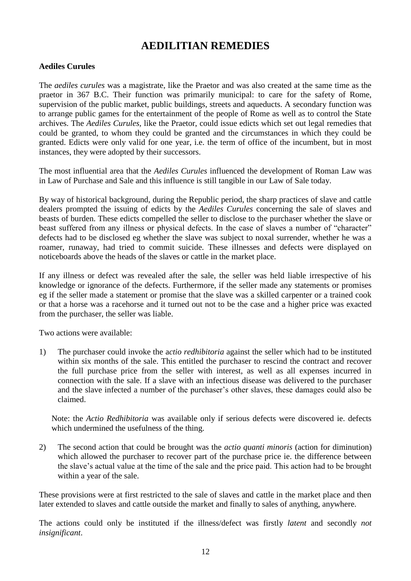# **AEDILITIAN REMEDIES**

### **Aediles Curules**

The *aediles curules* was a magistrate, like the Praetor and was also created at the same time as the praetor in 367 B.C. Their function was primarily municipal: to care for the safety of Rome, supervision of the public market, public buildings, streets and aqueducts. A secondary function was to arrange public games for the entertainment of the people of Rome as well as to control the State archives. The *Aediles Curules,* like the Praetor, could issue edicts which set out legal remedies that could be granted, to whom they could be granted and the circumstances in which they could be granted. Edicts were only valid for one year, i.e. the term of office of the incumbent, but in most instances, they were adopted by their successors.

The most influential area that the *Aediles Curules* influenced the development of Roman Law was in Law of Purchase and Sale and this influence is still tangible in our Law of Sale today.

By way of historical background, during the Republic period, the sharp practices of slave and cattle dealers prompted the issuing of edicts by the *Aediles Curules* concerning the sale of slaves and beasts of burden. These edicts compelled the seller to disclose to the purchaser whether the slave or beast suffered from any illness or physical defects. In the case of slaves a number of "character" defects had to be disclosed eg whether the slave was subject to noxal surrender, whether he was a roamer, runaway, had tried to commit suicide. These illnesses and defects were displayed on noticeboards above the heads of the slaves or cattle in the market place.

If any illness or defect was revealed after the sale, the seller was held liable irrespective of his knowledge or ignorance of the defects. Furthermore, if the seller made any statements or promises eg if the seller made a statement or promise that the slave was a skilled carpenter or a trained cook or that a horse was a racehorse and it turned out not to be the case and a higher price was exacted from the purchaser, the seller was liable.

Two actions were available:

1) The purchaser could invoke the a*ctio redhibitoria* against the seller which had to be instituted within six months of the sale. This entitled the purchaser to rescind the contract and recover the full purchase price from the seller with interest, as well as all expenses incurred in connection with the sale. If a slave with an infectious disease was delivered to the purchaser and the slave infected a number of the purchaser's other slaves, these damages could also be claimed.

Note: the *Actio Redhibitoria* was available only if serious defects were discovered ie. defects which undermined the usefulness of the thing.

2) The second action that could be brought was the *actio quanti minoris* (action for diminution) which allowed the purchaser to recover part of the purchase price ie. the difference between the slave's actual value at the time of the sale and the price paid. This action had to be brought within a year of the sale.

These provisions were at first restricted to the sale of slaves and cattle in the market place and then later extended to slaves and cattle outside the market and finally to sales of anything, anywhere.

The actions could only be instituted if the illness/defect was firstly *latent* and secondly *not insignificant*.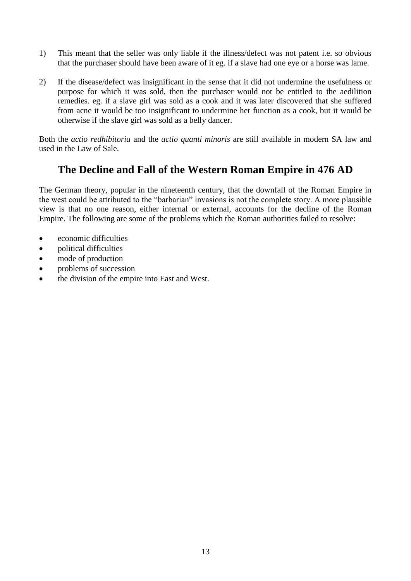- 1) This meant that the seller was only liable if the illness/defect was not patent i.e. so obvious that the purchaser should have been aware of it eg. if a slave had one eye or a horse was lame.
- 2) If the disease/defect was insignificant in the sense that it did not undermine the usefulness or purpose for which it was sold, then the purchaser would not be entitled to the aedilition remedies. eg. if a slave girl was sold as a cook and it was later discovered that she suffered from acne it would be too insignificant to undermine her function as a cook, but it would be otherwise if the slave girl was sold as a belly dancer.

Both the *actio redhibitoria* and the *actio quanti minoris* are still available in modern SA law and used in the Law of Sale.

### **The Decline and Fall of the Western Roman Empire in 476 AD**

The German theory, popular in the nineteenth century, that the downfall of the Roman Empire in the west could be attributed to the "barbarian" invasions is not the complete story. A more plausible view is that no one reason, either internal or external, accounts for the decline of the Roman Empire. The following are some of the problems which the Roman authorities failed to resolve:

- economic difficulties
- political difficulties
- mode of production
- problems of succession
- the division of the empire into East and West.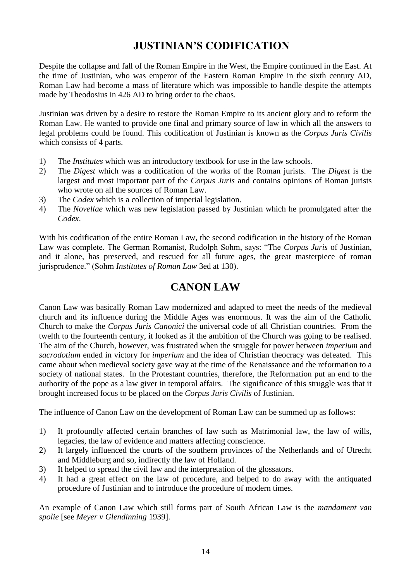# **JUSTINIAN'S CODIFICATION**

Despite the collapse and fall of the Roman Empire in the West, the Empire continued in the East. At the time of Justinian, who was emperor of the Eastern Roman Empire in the sixth century AD, Roman Law had become a mass of literature which was impossible to handle despite the attempts made by Theodosius in 426 AD to bring order to the chaos.

Justinian was driven by a desire to restore the Roman Empire to its ancient glory and to reform the Roman Law. He wanted to provide one final and primary source of law in which all the answers to legal problems could be found. This codification of Justinian is known as the *Corpus Juris Civilis* which consists of 4 parts.

- 1) The *Institutes* which was an introductory textbook for use in the law schools.
- 2) The *Digest* which was a codification of the works of the Roman jurists. The *Digest* is the largest and most important part of the *Corpus Juris* and contains opinions of Roman jurists who wrote on all the sources of Roman Law.
- 3) The *Codex* which is a collection of imperial legislation.
- 4) The *Novellae* which was new legislation passed by Justinian which he promulgated after the *Codex*.

With his codification of the entire Roman Law, the second codification in the history of the Roman Law was complete. The German Romanist, Rudolph Sohm, says: "The *Corpus Juris* of Justinian, and it alone, has preserved, and rescued for all future ages, the great masterpiece of roman jurisprudence." (Sohm *Institutes of Roman Law* 3ed at 130).

# **CANON LAW**

Canon Law was basically Roman Law modernized and adapted to meet the needs of the medieval church and its influence during the Middle Ages was enormous. It was the aim of the Catholic Church to make the *Corpus Juris Canonici* the universal code of all Christian countries. From the twelth to the fourteenth century, it looked as if the ambition of the Church was going to be realised. The aim of the Church, however, was frustrated when the struggle for power between *imperium* and *sacrodotium* ended in victory for *imperium* and the idea of Christian theocracy was defeated. This came about when medieval society gave way at the time of the Renaissance and the reformation to a society of national states. In the Protestant countries, therefore, the Reformation put an end to the authority of the pope as a law giver in temporal affairs. The significance of this struggle was that it brought increased focus to be placed on the *Corpus Juris Civilis* of Justinian.

The influence of Canon Law on the development of Roman Law can be summed up as follows:

- 1) It profoundly affected certain branches of law such as Matrimonial law, the law of wills, legacies, the law of evidence and matters affecting conscience.
- 2) It largely influenced the courts of the southern provinces of the Netherlands and of Utrecht and Middleburg and so, indirectly the law of Holland.
- 3) It helped to spread the civil law and the interpretation of the glossators.
- 4) It had a great effect on the law of procedure, and helped to do away with the antiquated procedure of Justinian and to introduce the procedure of modern times.

An example of Canon Law which still forms part of South African Law is the *mandament van spolie* [see *Meyer v Glendinning* 1939].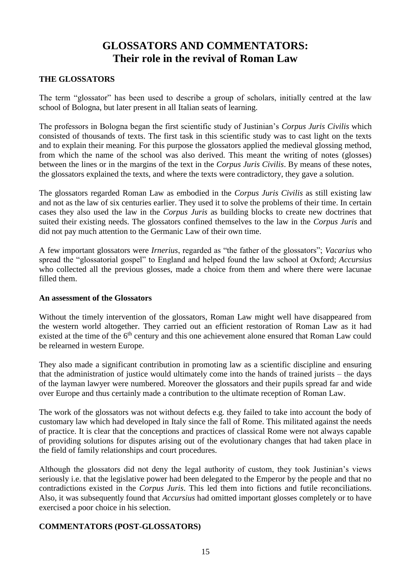# **GLOSSATORS AND COMMENTATORS: Their role in the revival of Roman Law**

### **THE GLOSSATORS**

The term "glossator" has been used to describe a group of scholars, initially centred at the law school of Bologna, but later present in all Italian seats of learning.

The professors in Bologna began the first scientific study of Justinian's *Corpus Juris Civilis* which consisted of thousands of texts. The first task in this scientific study was to cast light on the texts and to explain their meaning. For this purpose the glossators applied the medieval glossing method, from which the name of the school was also derived. This meant the writing of notes (glosses) between the lines or in the margins of the text in the *Corpus Juris Civilis*. By means of these notes, the glossators explained the texts, and where the texts were contradictory, they gave a solution.

The glossators regarded Roman Law as embodied in the *Corpus Juris Civilis* as still existing law and not as the law of six centuries earlier. They used it to solve the problems of their time. In certain cases they also used the law in the *Corpus Juris* as building blocks to create new doctrines that suited their existing needs. The glossators confined themselves to the law in the *Corpus Juris* and did not pay much attention to the Germanic Law of their own time.

A few important glossators were *Irnerius*, regarded as "the father of the glossators"; *Vacarius* who spread the "glossatorial gospel" to England and helped found the law school at Oxford; *Accursius*  who collected all the previous glosses, made a choice from them and where there were lacunae filled them.

#### **An assessment of the Glossators**

Without the timely intervention of the glossators, Roman Law might well have disappeared from the western world altogether. They carried out an efficient restoration of Roman Law as it had existed at the time of the 6<sup>th</sup> century and this one achievement alone ensured that Roman Law could be relearned in western Europe.

They also made a significant contribution in promoting law as a scientific discipline and ensuring that the administration of justice would ultimately come into the hands of trained jurists – the days of the layman lawyer were numbered. Moreover the glossators and their pupils spread far and wide over Europe and thus certainly made a contribution to the ultimate reception of Roman Law.

The work of the glossators was not without defects e.g. they failed to take into account the body of customary law which had developed in Italy since the fall of Rome. This militated against the needs of practice. It is clear that the conceptions and practices of classical Rome were not always capable of providing solutions for disputes arising out of the evolutionary changes that had taken place in the field of family relationships and court procedures.

Although the glossators did not deny the legal authority of custom, they took Justinian's views seriously i.e. that the legislative power had been delegated to the Emperor by the people and that no contradictions existed in the *Corpus Juris*. This led them into fictions and futile reconciliations. Also, it was subsequently found that *Accursius* had omitted important glosses completely or to have exercised a poor choice in his selection.

### **COMMENTATORS (POST-GLOSSATORS)**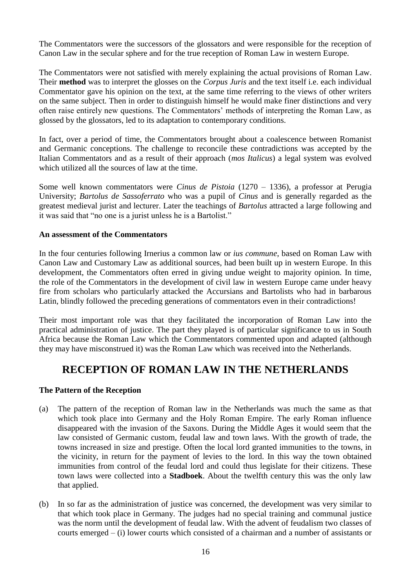The Commentators were the successors of the glossators and were responsible for the reception of Canon Law in the secular sphere and for the true reception of Roman Law in western Europe.

The Commentators were not satisfied with merely explaining the actual provisions of Roman Law. Their **method** was to interpret the glosses on the *Corpus Juris* and the text itself i.e. each individual Commentator gave his opinion on the text, at the same time referring to the views of other writers on the same subject. Then in order to distinguish himself he would make finer distinctions and very often raise entirely new questions. The Commentators' methods of interpreting the Roman Law, as glossed by the glossators, led to its adaptation to contemporary conditions.

In fact, over a period of time, the Commentators brought about a coalescence between Romanist and Germanic conceptions. The challenge to reconcile these contradictions was accepted by the Italian Commentators and as a result of their approach (*mos Italicus*) a legal system was evolved which utilized all the sources of law at the time.

Some well known commentators were *Cinus de Pistoia* (1270 – 1336), a professor at Perugia University; *Bartolus de Sassoferrato* who was a pupil of *Cinus* and is generally regarded as the greatest medieval jurist and lecturer. Later the teachings of *Bartolus* attracted a large following and it was said that "no one is a jurist unless he is a Bartolist."

### **An assessment of the Commentators**

In the four centuries following Irnerius a common law or *ius commune*, based on Roman Law with Canon Law and Customary Law as additional sources, had been built up in western Europe. In this development, the Commentators often erred in giving undue weight to majority opinion. In time, the role of the Commentators in the development of civil law in western Europe came under heavy fire from scholars who particularly attacked the Accursians and Bartolists who had in barbarous Latin, blindly followed the preceding generations of commentators even in their contradictions!

Their most important role was that they facilitated the incorporation of Roman Law into the practical administration of justice. The part they played is of particular significance to us in South Africa because the Roman Law which the Commentators commented upon and adapted (although they may have misconstrued it) was the Roman Law which was received into the Netherlands.

### **RECEPTION OF ROMAN LAW IN THE NETHERLANDS**

### **The Pattern of the Reception**

- (a) The pattern of the reception of Roman law in the Netherlands was much the same as that which took place into Germany and the Holy Roman Empire. The early Roman influence disappeared with the invasion of the Saxons. During the Middle Ages it would seem that the law consisted of Germanic custom, feudal law and town laws. With the growth of trade, the towns increased in size and prestige. Often the local lord granted immunities to the towns, in the vicinity, in return for the payment of levies to the lord. In this way the town obtained immunities from control of the feudal lord and could thus legislate for their citizens. These town laws were collected into a **Stadboek**. About the twelfth century this was the only law that applied.
- (b) In so far as the administration of justice was concerned, the development was very similar to that which took place in Germany. The judges had no special training and communal justice was the norm until the development of feudal law. With the advent of feudalism two classes of courts emerged – (i) lower courts which consisted of a chairman and a number of assistants or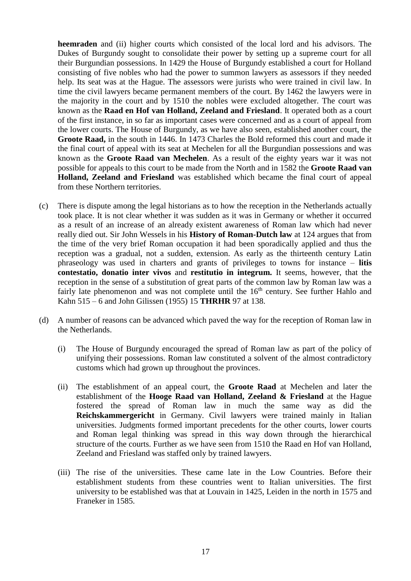**heemraden** and (ii) higher courts which consisted of the local lord and his advisors. The Dukes of Burgundy sought to consolidate their power by setting up a supreme court for all their Burgundian possessions. In 1429 the House of Burgundy established a court for Holland consisting of five nobles who had the power to summon lawyers as assessors if they needed help. Its seat was at the Hague. The assessors were jurists who were trained in civil law. In time the civil lawyers became permanent members of the court. By 1462 the lawyers were in the majority in the court and by 1510 the nobles were excluded altogether. The court was known as the **Raad en Hof van Holland, Zeeland and Friesland**. It operated both as a court of the first instance, in so far as important cases were concerned and as a court of appeal from the lower courts. The House of Burgundy, as we have also seen, established another court, the **Groote Raad,** in the south in 1446. In 1473 Charles the Bold reformed this court and made it the final court of appeal with its seat at Mechelen for all the Burgundian possessions and was known as the **Groote Raad van Mechelen**. As a result of the eighty years war it was not possible for appeals to this court to be made from the North and in 1582 the **Groote Raad van Holland, Zeeland and Friesland** was established which became the final court of appeal from these Northern territories.

- (c) There is dispute among the legal historians as to how the reception in the Netherlands actually took place. It is not clear whether it was sudden as it was in Germany or whether it occurred as a result of an increase of an already existent awareness of Roman law which had never really died out. Sir John Wessels in his **History of Roman-Dutch law** at 124 argues that from the time of the very brief Roman occupation it had been sporadically applied and thus the reception was a gradual, not a sudden, extension. As early as the thirteenth century Latin phraseology was used in charters and grants of privileges to towns for instance – **litis contestatio, donatio inter vivos** and **restitutio in integrum.** It seems, however, that the reception in the sense of a substitution of great parts of the common law by Roman law was a fairly late phenomenon and was not complete until the 16<sup>th</sup> century. See further Hahlo and Kahn 515 – 6 and John Gilissen (1955) 15 **THRHR** 97 at 138.
- (d) A number of reasons can be advanced which paved the way for the reception of Roman law in the Netherlands.
	- (i) The House of Burgundy encouraged the spread of Roman law as part of the policy of unifying their possessions. Roman law constituted a solvent of the almost contradictory customs which had grown up throughout the provinces.
	- (ii) The establishment of an appeal court, the **Groote Raad** at Mechelen and later the establishment of the **Hooge Raad van Holland, Zeeland & Friesland** at the Hague fostered the spread of Roman law in much the same way as did the **Reichskammergericht** in Germany. Civil lawyers were trained mainly in Italian universities. Judgments formed important precedents for the other courts, lower courts and Roman legal thinking was spread in this way down through the hierarchical structure of the courts. Further as we have seen from 1510 the Raad en Hof van Holland, Zeeland and Friesland was staffed only by trained lawyers.
	- (iii) The rise of the universities. These came late in the Low Countries. Before their establishment students from these countries went to Italian universities. The first university to be established was that at Louvain in 1425, Leiden in the north in 1575 and Franeker in 1585.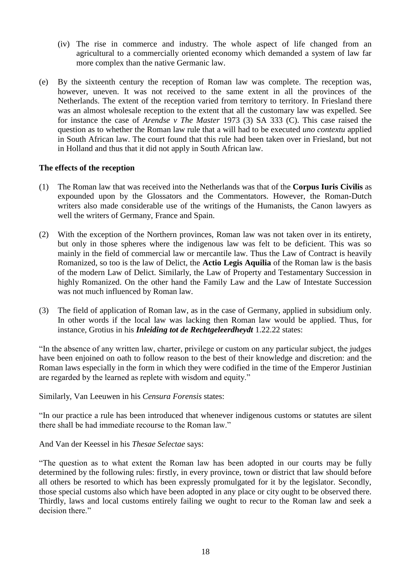- (iv) The rise in commerce and industry. The whole aspect of life changed from an agricultural to a commercially oriented economy which demanded a system of law far more complex than the native Germanic law.
- (e) By the sixteenth century the reception of Roman law was complete. The reception was, however, uneven. It was not received to the same extent in all the provinces of the Netherlands. The extent of the reception varied from territory to territory. In Friesland there was an almost wholesale reception to the extent that all the customary law was expelled. See for instance the case of *Arendse v The Master* 1973 (3) SA 333 (C). This case raised the question as to whether the Roman law rule that a will had to be executed *uno contextu* applied in South African law. The court found that this rule had been taken over in Friesland, but not in Holland and thus that it did not apply in South African law.

### **The effects of the reception**

- (1) The Roman law that was received into the Netherlands was that of the **Corpus Iuris Civilis** as expounded upon by the Glossators and the Commentators. However, the Roman-Dutch writers also made considerable use of the writings of the Humanists, the Canon lawyers as well the writers of Germany, France and Spain.
- (2) With the exception of the Northern provinces, Roman law was not taken over in its entirety, but only in those spheres where the indigenous law was felt to be deficient. This was so mainly in the field of commercial law or mercantile law. Thus the Law of Contract is heavily Romanized, so too is the law of Delict, the **Actio Legis Aquilia** of the Roman law is the basis of the modern Law of Delict. Similarly, the Law of Property and Testamentary Succession in highly Romanized. On the other hand the Family Law and the Law of Intestate Succession was not much influenced by Roman law.
- (3) The field of application of Roman law, as in the case of Germany, applied in subsidium only. In other words if the local law was lacking then Roman law would be applied. Thus, for instance, Grotius in his *Inleiding tot de Rechtgeleerdheydt* 1.22.22 states:

"In the absence of any written law, charter, privilege or custom on any particular subject, the judges have been enjoined on oath to follow reason to the best of their knowledge and discretion: and the Roman laws especially in the form in which they were codified in the time of the Emperor Justinian are regarded by the learned as replete with wisdom and equity."

Similarly, Van Leeuwen in his *Censura Forensis* states:

"In our practice a rule has been introduced that whenever indigenous customs or statutes are silent there shall be had immediate recourse to the Roman law."

And Van der Keessel in his *Thesae Selectae* says:

"The question as to what extent the Roman law has been adopted in our courts may be fully determined by the following rules: firstly, in every province, town or district that law should before all others be resorted to which has been expressly promulgated for it by the legislator. Secondly, those special customs also which have been adopted in any place or city ought to be observed there. Thirdly, laws and local customs entirely failing we ought to recur to the Roman law and seek a decision there."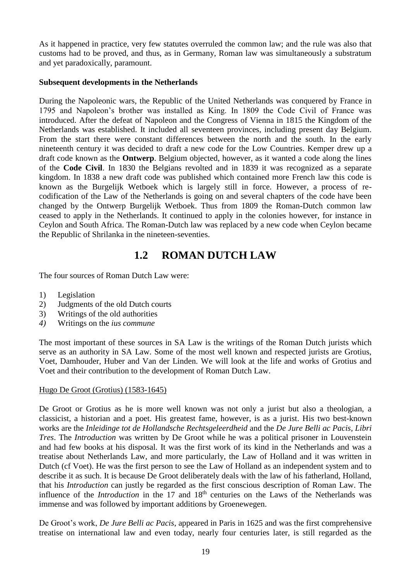As it happened in practice, very few statutes overruled the common law; and the rule was also that customs had to be proved, and thus, as in Germany, Roman law was simultaneously a substratum and yet paradoxically, paramount.

### **Subsequent developments in the Netherlands**

During the Napoleonic wars, the Republic of the United Netherlands was conquered by France in 1795 and Napoleon's brother was installed as King. In 1809 the Code Civil of France was introduced. After the defeat of Napoleon and the Congress of Vienna in 1815 the Kingdom of the Netherlands was established. It included all seventeen provinces, including present day Belgium. From the start there were constant differences between the north and the south. In the early nineteenth century it was decided to draft a new code for the Low Countries. Kemper drew up a draft code known as the **Ontwerp**. Belgium objected, however, as it wanted a code along the lines of the **Code Civil**. In 1830 the Belgians revolted and in 1839 it was recognized as a separate kingdom. In 1838 a new draft code was published which contained more French law this code is known as the Burgelijk Wetboek which is largely still in force. However, a process of recodification of the Law of the Netherlands is going on and several chapters of the code have been changed by the Ontwerp Burgelijk Wetboek. Thus from 1809 the Roman-Dutch common law ceased to apply in the Netherlands. It continued to apply in the colonies however, for instance in Ceylon and South Africa. The Roman-Dutch law was replaced by a new code when Ceylon became the Republic of Shrilanka in the nineteen-seventies.

## **1.2 ROMAN DUTCH LAW**

The four sources of Roman Dutch Law were:

- 1) Legislation
- 2) Judgments of the old Dutch courts
- 3) Writings of the old authorities
- *4)* Writings on the *ius commune*

The most important of these sources in SA Law is the writings of the Roman Dutch jurists which serve as an authority in SA Law. Some of the most well known and respected jurists are Grotius, Voet, Damhouder, Huber and Van der Linden. We will look at the life and works of Grotius and Voet and their contribution to the development of Roman Dutch Law.

#### Hugo De Groot (Grotius) (1583-1645)

De Groot or Grotius as he is more well known was not only a jurist but also a theologian, a classicist, a historian and a poet. His greatest fame, however, is as a jurist. His two best-known works are the *Inleidinge tot de Hollandsche Rechtsgeleerdheid* and the *De Jure Belli ac Pacis, Libri Tres*. The *Introduction* was written by De Groot while he was a political prisoner in Louvenstein and had few books at his disposal. It was the first work of its kind in the Netherlands and was a treatise about Netherlands Law, and more particularly, the Law of Holland and it was written in Dutch (cf Voet). He was the first person to see the Law of Holland as an independent system and to describe it as such. It is because De Groot deliberately deals with the law of his fatherland, Holland, that his *Introduction* can justly be regarded as the first conscious description of Roman Law. The influence of the *Introduction* in the 17 and 18<sup>th</sup> centuries on the Laws of the Netherlands was immense and was followed by important additions by Groenewegen.

De Groot's work, *De Jure Belli ac Pacis*, appeared in Paris in 1625 and was the first comprehensive treatise on international law and even today, nearly four centuries later, is still regarded as the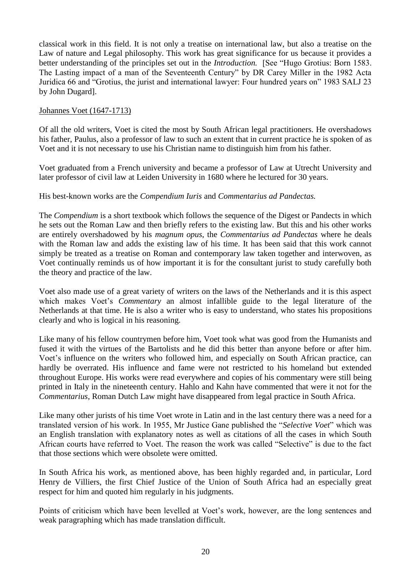classical work in this field. It is not only a treatise on international law, but also a treatise on the Law of nature and Legal philosophy. This work has great significance for us because it provides a better understanding of the principles set out in the *Introduction.* [See "Hugo Grotius: Born 1583. The Lasting impact of a man of the Seventeenth Century" by DR Carey Miller in the 1982 Acta Juridica 66 and "Grotius, the jurist and international lawyer: Four hundred years on" 1983 SALJ 23 by John Dugard].

### Johannes Voet (1647-1713)

Of all the old writers, Voet is cited the most by South African legal practitioners. He overshadows his father, Paulus, also a professor of law to such an extent that in current practice he is spoken of as Voet and it is not necessary to use his Christian name to distinguish him from his father.

Voet graduated from a French university and became a professor of Law at Utrecht University and later professor of civil law at Leiden University in 1680 where he lectured for 30 years.

### His best-known works are the *Compendium Iuris* and *Commentarius ad Pandectas.*

The *Compendium* is a short textbook which follows the sequence of the Digest or Pandects in which he sets out the Roman Law and then briefly refers to the existing law. But this and his other works are entirely overshadowed by his *magnum opus*, the *Commentarius ad Pandectas* where he deals with the Roman law and adds the existing law of his time. It has been said that this work cannot simply be treated as a treatise on Roman and contemporary law taken together and interwoven, as Voet continually reminds us of how important it is for the consultant jurist to study carefully both the theory and practice of the law.

Voet also made use of a great variety of writers on the laws of the Netherlands and it is this aspect which makes Voet's *Commentary* an almost infallible guide to the legal literature of the Netherlands at that time. He is also a writer who is easy to understand, who states his propositions clearly and who is logical in his reasoning.

Like many of his fellow countrymen before him, Voet took what was good from the Humanists and fused it with the virtues of the Bartolists and he did this better than anyone before or after him. Voet's influence on the writers who followed him, and especially on South African practice, can hardly be overrated. His influence and fame were not restricted to his homeland but extended throughout Europe. His works were read everywhere and copies of his commentary were still being printed in Italy in the nineteenth century. Hahlo and Kahn have commented that were it not for the *Commentarius*, Roman Dutch Law might have disappeared from legal practice in South Africa.

Like many other jurists of his time Voet wrote in Latin and in the last century there was a need for a translated version of his work. In 1955, Mr Justice Gane published the "*Selective Voet*" which was an English translation with explanatory notes as well as citations of all the cases in which South African courts have referred to Voet. The reason the work was called "Selective" is due to the fact that those sections which were obsolete were omitted.

In South Africa his work, as mentioned above, has been highly regarded and, in particular, Lord Henry de Villiers, the first Chief Justice of the Union of South Africa had an especially great respect for him and quoted him regularly in his judgments.

Points of criticism which have been levelled at Voet's work, however, are the long sentences and weak paragraphing which has made translation difficult.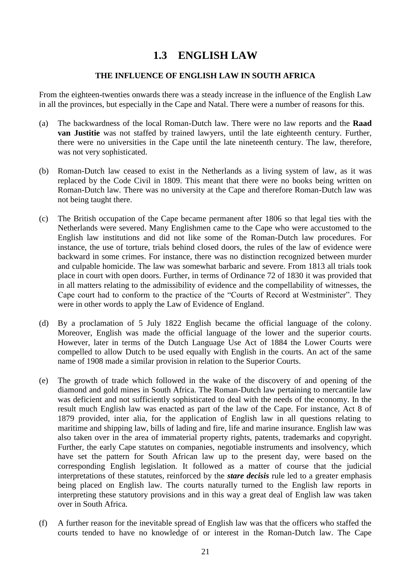## **1.3 ENGLISH LAW**

### **THE INFLUENCE OF ENGLISH LAW IN SOUTH AFRICA**

From the eighteen-twenties onwards there was a steady increase in the influence of the English Law in all the provinces, but especially in the Cape and Natal. There were a number of reasons for this.

- (a) The backwardness of the local Roman-Dutch law. There were no law reports and the **Raad van Justitie** was not staffed by trained lawyers, until the late eighteenth century. Further, there were no universities in the Cape until the late nineteenth century. The law, therefore, was not very sophisticated.
- (b) Roman-Dutch law ceased to exist in the Netherlands as a living system of law, as it was replaced by the Code Civil in 1809. This meant that there were no books being written on Roman-Dutch law. There was no university at the Cape and therefore Roman-Dutch law was not being taught there.
- (c) The British occupation of the Cape became permanent after 1806 so that legal ties with the Netherlands were severed. Many Englishmen came to the Cape who were accustomed to the English law institutions and did not like some of the Roman-Dutch law procedures. For instance, the use of torture, trials behind closed doors, the rules of the law of evidence were backward in some crimes. For instance, there was no distinction recognized between murder and culpable homicide. The law was somewhat barbaric and severe. From 1813 all trials took place in court with open doors. Further, in terms of Ordinance 72 of 1830 it was provided that in all matters relating to the admissibility of evidence and the compellability of witnesses, the Cape court had to conform to the practice of the "Courts of Record at Westminister". They were in other words to apply the Law of Evidence of England.
- (d) By a proclamation of 5 July 1822 English became the official language of the colony. Moreover, English was made the official language of the lower and the superior courts. However, later in terms of the Dutch Language Use Act of 1884 the Lower Courts were compelled to allow Dutch to be used equally with English in the courts. An act of the same name of 1908 made a similar provision in relation to the Superior Courts.
- (e) The growth of trade which followed in the wake of the discovery of and opening of the diamond and gold mines in South Africa. The Roman-Dutch law pertaining to mercantile law was deficient and not sufficiently sophisticated to deal with the needs of the economy. In the result much English law was enacted as part of the law of the Cape. For instance, Act 8 of 1879 provided, inter alia, for the application of English law in all questions relating to maritime and shipping law, bills of lading and fire, life and marine insurance. English law was also taken over in the area of immaterial property rights, patents, trademarks and copyright. Further, the early Cape statutes on companies, negotiable instruments and insolvency, which have set the pattern for South African law up to the present day, were based on the corresponding English legislation. It followed as a matter of course that the judicial interpretations of these statutes, reinforced by the *stare decisis* rule led to a greater emphasis being placed on English law. The courts naturally turned to the English law reports in interpreting these statutory provisions and in this way a great deal of English law was taken over in South Africa.
- (f) A further reason for the inevitable spread of English law was that the officers who staffed the courts tended to have no knowledge of or interest in the Roman-Dutch law. The Cape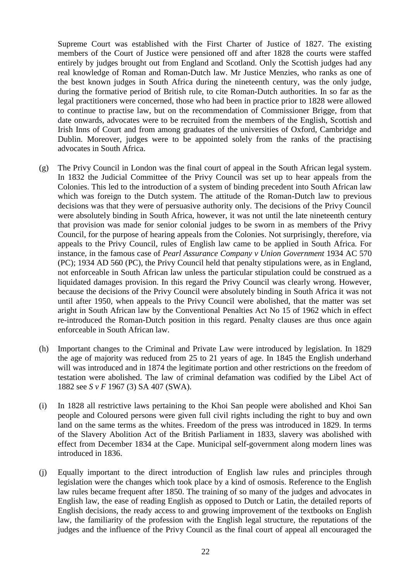Supreme Court was established with the First Charter of Justice of 1827. The existing members of the Court of Justice were pensioned off and after 1828 the courts were staffed entirely by judges brought out from England and Scotland. Only the Scottish judges had any real knowledge of Roman and Roman-Dutch law. Mr Justice Menzies, who ranks as one of the best known judges in South Africa during the nineteenth century, was the only judge, during the formative period of British rule, to cite Roman-Dutch authorities. In so far as the legal practitioners were concerned, those who had been in practice prior to 1828 were allowed to continue to practise law, but on the recommendation of Commissioner Brigge, from that date onwards, advocates were to be recruited from the members of the English, Scottish and Irish Inns of Court and from among graduates of the universities of Oxford, Cambridge and Dublin. Moreover, judges were to be appointed solely from the ranks of the practising advocates in South Africa.

- (g) The Privy Council in London was the final court of appeal in the South African legal system. In 1832 the Judicial Committee of the Privy Council was set up to hear appeals from the Colonies. This led to the introduction of a system of binding precedent into South African law which was foreign to the Dutch system. The attitude of the Roman-Dutch law to previous decisions was that they were of persuasive authority only. The decisions of the Privy Council were absolutely binding in South Africa, however, it was not until the late nineteenth century that provision was made for senior colonial judges to be sworn in as members of the Privy Council, for the purpose of hearing appeals from the Colonies. Not surprisingly, therefore, via appeals to the Privy Council, rules of English law came to be applied in South Africa. For instance, in the famous case of *Pearl Assurance Company v Union Government* 1934 AC 570 (PC); 1934 AD 560 (PC), the Privy Council held that penalty stipulations were, as in England, not enforceable in South African law unless the particular stipulation could be construed as a liquidated damages provision. In this regard the Privy Council was clearly wrong. However, because the decisions of the Privy Council were absolutely binding in South Africa it was not until after 1950, when appeals to the Privy Council were abolished, that the matter was set aright in South African law by the Conventional Penalties Act No 15 of 1962 which in effect re-introduced the Roman-Dutch position in this regard. Penalty clauses are thus once again enforceable in South African law.
- (h) Important changes to the Criminal and Private Law were introduced by legislation. In 1829 the age of majority was reduced from 25 to 21 years of age. In 1845 the English underhand will was introduced and in 1874 the legitimate portion and other restrictions on the freedom of testation were abolished. The law of criminal defamation was codified by the Libel Act of 1882 see *S v F* 1967 (3) SA 407 (SWA).
- (i) In 1828 all restrictive laws pertaining to the Khoi San people were abolished and Khoi San people and Coloured persons were given full civil rights including the right to buy and own land on the same terms as the whites. Freedom of the press was introduced in 1829. In terms of the Slavery Abolition Act of the British Parliament in 1833, slavery was abolished with effect from December 1834 at the Cape. Municipal self-government along modern lines was introduced in 1836.
- (j) Equally important to the direct introduction of English law rules and principles through legislation were the changes which took place by a kind of osmosis. Reference to the English law rules became frequent after 1850. The training of so many of the judges and advocates in English law, the ease of reading English as opposed to Dutch or Latin, the detailed reports of English decisions, the ready access to and growing improvement of the textbooks on English law, the familiarity of the profession with the English legal structure, the reputations of the judges and the influence of the Privy Council as the final court of appeal all encouraged the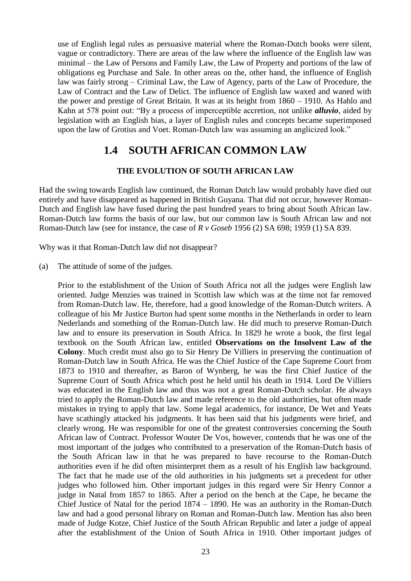use of English legal rules as persuasive material where the Roman-Dutch books were silent, vague or contradictory. There are areas of the law where the influence of the English law was minimal – the Law of Persons and Family Law, the Law of Property and portions of the law of obligations eg Purchase and Sale. In other areas on the, other hand, the influence of English law was fairly strong – Criminal Law, the Law of Agency, parts of the Law of Procedure, the Law of Contract and the Law of Delict. The influence of English law waxed and waned with the power and prestige of Great Britain. It was at its height from 1860 – 1910. As Hahlo and Kahn at 578 point out: "By a process of imperceptible accretion, not unlike *alluvio*, aided by legislation with an English bias, a layer of English rules and concepts became superimposed upon the law of Grotius and Voet. Roman-Dutch law was assuming an anglicized look."

### **1.4 SOUTH AFRICAN COMMON LAW**

### **THE EVOLUTION OF SOUTH AFRICAN LAW**

Had the swing towards English law continued, the Roman Dutch law would probably have died out entirely and have disappeared as happened in British Guyana. That did not occur, however Roman-Dutch and English law have fused during the past hundred years to bring about South African law. Roman-Dutch law forms the basis of our law, but our common law is South African law and not Roman-Dutch law (see for instance, the case of *R v Goseb* 1956 (2) SA 698; 1959 (1) SA 839.

Why was it that Roman-Dutch law did not disappear?

(a) The attitude of some of the judges.

Prior to the establishment of the Union of South Africa not all the judges were English law oriented. Judge Menzies was trained in Scottish law which was at the time not far removed from Roman-Dutch law. He, therefore, had a good knowledge of the Roman-Dutch writers. A colleague of his Mr Justice Burton had spent some months in the Netherlands in order to learn Nederlands and something of the Roman-Dutch law. He did much to preserve Roman-Dutch law and to ensure its preservation in South Africa. In 1829 he wrote a book, the first legal textbook on the South African law, entitled **Observations on the Insolvent Law of the Colony**. Much credit must also go to Sir Henry De Villiers in preserving the continuation of Roman-Dutch law in South Africa. He was the Chief Justice of the Cape Supreme Court from 1873 to 1910 and thereafter, as Baron of Wynberg, he was the first Chief Justice of the Supreme Court of South Africa which post he held until his death in 1914. Lord De Villiers was educated in the English law and thus was not a great Roman-Dutch scholar. He always tried to apply the Roman-Dutch law and made reference to the old authorities, but often made mistakes in trying to apply that law. Some legal academics, for instance, De Wet and Yeats have scathingly attacked his judgments. It has been said that his judgments were brief, and clearly wrong. He was responsible for one of the greatest controversies concerning the South African law of Contract. Professor Wouter De Vos, however, contends that he was one of the most important of the judges who contributed to a preservation of the Roman-Dutch basis of the South African law in that he was prepared to have recourse to the Roman-Dutch authorities even if he did often misinterpret them as a result of his English law background. The fact that he made use of the old authorities in his judgments set a precedent for other judges who followed him. Other important judges in this regard were Sir Henry Connor a judge in Natal from 1857 to 1865. After a period on the bench at the Cape, he became the Chief Justice of Natal for the period 1874 – 1890. He was an authority in the Roman-Dutch law and had a good personal library on Roman and Roman-Dutch law. Mention has also been made of Judge Kotze, Chief Justice of the South African Republic and later a judge of appeal after the establishment of the Union of South Africa in 1910. Other important judges of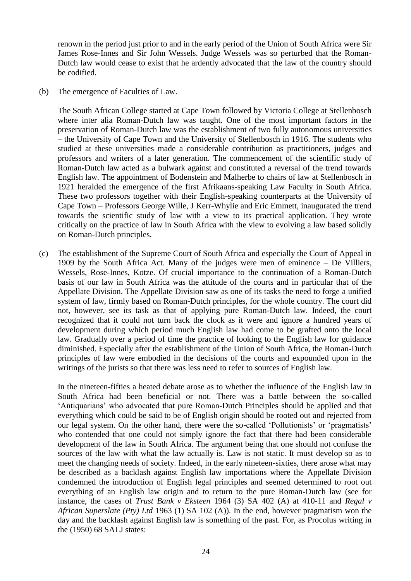renown in the period just prior to and in the early period of the Union of South Africa were Sir James Rose-Innes and Sir John Wessels. Judge Wessels was so perturbed that the Roman-Dutch law would cease to exist that he ardently advocated that the law of the country should be codified.

(b) The emergence of Faculties of Law.

The South African College started at Cape Town followed by Victoria College at Stellenbosch where inter alia Roman-Dutch law was taught. One of the most important factors in the preservation of Roman-Dutch law was the establishment of two fully autonomous universities – the University of Cape Town and the University of Stellenbosch in 1916. The students who studied at these universities made a considerable contribution as practitioners, judges and professors and writers of a later generation. The commencement of the scientific study of Roman-Dutch law acted as a bulwark against and constituted a reversal of the trend towards English law. The appointment of Bodenstein and Malherbe to chairs of law at Stellenbosch in 1921 heralded the emergence of the first Afrikaans-speaking Law Faculty in South Africa. These two professors together with their English-speaking counterparts at the University of Cape Town – Professors George Wille, J Kerr-Whylie and Eric Emmett, inaugurated the trend towards the scientific study of law with a view to its practical application. They wrote critically on the practice of law in South Africa with the view to evolving a law based solidly on Roman-Dutch principles.

(c) The establishment of the Supreme Court of South Africa and especially the Court of Appeal in 1909 by the South Africa Act. Many of the judges were men of eminence – De Villiers, Wessels, Rose-Innes, Kotze. Of crucial importance to the continuation of a Roman-Dutch basis of our law in South Africa was the attitude of the courts and in particular that of the Appellate Division. The Appellate Division saw as one of its tasks the need to forge a unified system of law, firmly based on Roman-Dutch principles, for the whole country. The court did not, however, see its task as that of applying pure Roman-Dutch law. Indeed, the court recognized that it could not turn back the clock as it were and ignore a hundred years of development during which period much English law had come to be grafted onto the local law. Gradually over a period of time the practice of looking to the English law for guidance diminished. Especially after the establishment of the Union of South Africa, the Roman-Dutch principles of law were embodied in the decisions of the courts and expounded upon in the writings of the jurists so that there was less need to refer to sources of English law.

In the nineteen-fifties a heated debate arose as to whether the influence of the English law in South Africa had been beneficial or not. There was a battle between the so-called 'Antiquarians' who advocated that pure Roman-Dutch Principles should be applied and that everything which could be said to be of English origin should be rooted out and rejected from our legal system. On the other hand, there were the so-called 'Pollutionists' or 'pragmatists' who contended that one could not simply ignore the fact that there had been considerable development of the law in South Africa. The argument being that one should not confuse the sources of the law with what the law actually is. Law is not static. It must develop so as to meet the changing needs of society. Indeed, in the early nineteen-sixties, there arose what may be described as a backlash against English law importations where the Appellate Division condemned the introduction of English legal principles and seemed determined to root out everything of an English law origin and to return to the pure Roman-Dutch law (see for instance, the cases of *Trust Bank v Eksteen* 1964 (3) SA 402 (A) at 410-11 and *Regal v African Superslate (Pty) Ltd* 1963 (1) SA 102 (A)). In the end, however pragmatism won the day and the backlash against English law is something of the past. For, as Procolus writing in the (1950) 68 SALJ states: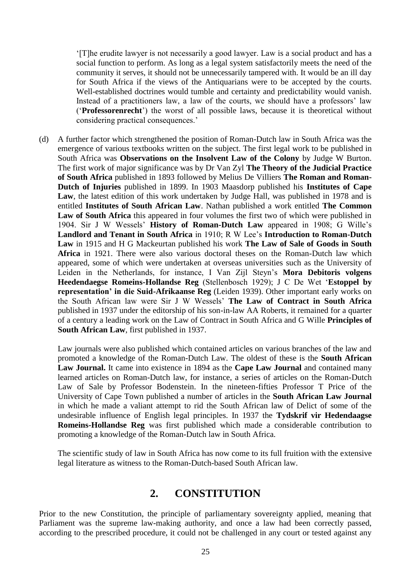'[T]he erudite lawyer is not necessarily a good lawyer. Law is a social product and has a social function to perform. As long as a legal system satisfactorily meets the need of the community it serves, it should not be unnecessarily tampered with. It would be an ill day for South Africa if the views of the Antiquarians were to be accepted by the courts. Well-established doctrines would tumble and certainty and predictability would vanish. Instead of a practitioners law, a law of the courts, we should have a professors' law ('**Professorenrecht**') the worst of all possible laws, because it is theoretical without considering practical consequences.'

(d) A further factor which strengthened the position of Roman-Dutch law in South Africa was the emergence of various textbooks written on the subject. The first legal work to be published in South Africa was **Observations on the Insolvent Law of the Colony** by Judge W Burton. The first work of major significance was by Dr Van Zyl **The Theory of the Judicial Practice of South Africa** published in 1893 followed by Melius De Villiers **The Roman and Roman-Dutch of Injuries** published in 1899. In 1903 Maasdorp published his **Institutes of Cape Law**, the latest edition of this work undertaken by Judge Hall, was published in 1978 and is entitled **Institutes of South African Law**. Nathan published a work entitled **The Common Law of South Africa** this appeared in four volumes the first two of which were published in 1904. Sir J W Wessels' **History of Roman-Dutch Law** appeared in 1908; G Wille's **Landlord and Tenant in South Africa** in 1910; R W Lee's **Introduction to Roman-Dutch Law** in 1915 and H G Mackeurtan published his work **The Law of Sale of Goods in South Africa** in 1921. There were also various doctoral theses on the Roman-Dutch law which appeared, some of which were undertaken at overseas universities such as the University of Leiden in the Netherlands, for instance, I Van Zijl Steyn's **Mora Debitoris volgens Heedendaegse Romeins-Hollandse Reg** (Stellenbosch 1929); J C De Wet '**Estoppel by representation' in die Suid-Afrikaanse Reg** (Leiden 1939). Other important early works on the South African law were Sir J W Wessels' **The Law of Contract in South Africa** published in 1937 under the editorship of his son-in-law AA Roberts, it remained for a quarter of a century a leading work on the Law of Contract in South Africa and G Wille **Principles of South African Law**, first published in 1937.

Law journals were also published which contained articles on various branches of the law and promoted a knowledge of the Roman-Dutch Law. The oldest of these is the **South African Law Journal.** It came into existence in 1894 as the **Cape Law Journal** and contained many learned articles on Roman-Dutch law, for instance, a series of articles on the Roman-Dutch Law of Sale by Professor Bodenstein. In the nineteen-fifties Professor T Price of the University of Cape Town published a number of articles in the **South African Law Journal** in which he made a valiant attempt to rid the South African law of Delict of some of the undesirable influence of English legal principles. In 1937 the **Tydskrif vir Hedendaagse Romeins-Hollandse Reg** was first published which made a considerable contribution to promoting a knowledge of the Roman-Dutch law in South Africa.

The scientific study of law in South Africa has now come to its full fruition with the extensive legal literature as witness to the Roman-Dutch-based South African law.

### **2. CONSTITUTION**

Prior to the new Constitution, the principle of parliamentary sovereignty applied, meaning that Parliament was the supreme law-making authority, and once a law had been correctly passed, according to the prescribed procedure, it could not be challenged in any court or tested against any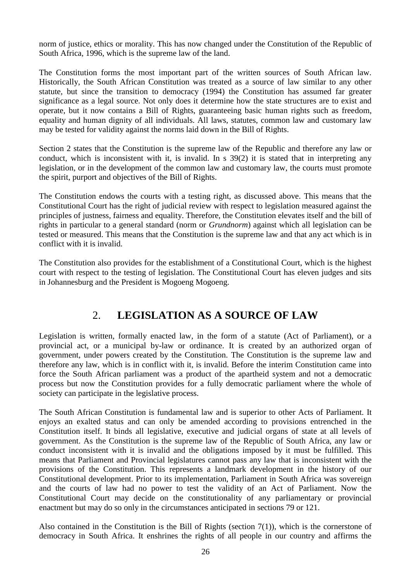norm of justice, ethics or morality. This has now changed under the Constitution of the Republic of South Africa, 1996, which is the supreme law of the land.

The Constitution forms the most important part of the written sources of South African law. Historically, the South African Constitution was treated as a source of law similar to any other statute, but since the transition to democracy (1994) the Constitution has assumed far greater significance as a legal source. Not only does it determine how the state structures are to exist and operate, but it now contains a Bill of Rights, guaranteeing basic human rights such as freedom, equality and human dignity of all individuals. All laws, statutes, common law and customary law may be tested for validity against the norms laid down in the Bill of Rights.

Section 2 states that the Constitution is the supreme law of the Republic and therefore any law or conduct, which is inconsistent with it, is invalid. In s 39(2) it is stated that in interpreting any legislation, or in the development of the common law and customary law, the courts must promote the spirit, purport and objectives of the Bill of Rights.

The Constitution endows the courts with a testing right, as discussed above. This means that the Constitutional Court has the right of judicial review with respect to legislation measured against the principles of justness, fairness and equality. Therefore, the Constitution elevates itself and the bill of rights in particular to a general standard (norm or *Grundnorm*) against which all legislation can be tested or measured. This means that the Constitution is the supreme law and that any act which is in conflict with it is invalid.

The Constitution also provides for the establishment of a Constitutional Court, which is the highest court with respect to the testing of legislation. The Constitutional Court has eleven judges and sits in Johannesburg and the President is Mogoeng Mogoeng.

# 2. **LEGISLATION AS A SOURCE OF LAW**

Legislation is written, formally enacted law, in the form of a statute (Act of Parliament), or a provincial act, or a municipal by-law or ordinance. It is created by an authorized organ of government, under powers created by the Constitution. The Constitution is the supreme law and therefore any law, which is in conflict with it, is invalid. Before the interim Constitution came into force the South African parliament was a product of the apartheid system and not a democratic process but now the Constitution provides for a fully democratic parliament where the whole of society can participate in the legislative process.

The South African Constitution is fundamental law and is superior to other Acts of Parliament. It enjoys an exalted status and can only be amended according to provisions entrenched in the Constitution itself. It binds all legislative, executive and judicial organs of state at all levels of government. As the Constitution is the supreme law of the Republic of South Africa, any law or conduct inconsistent with it is invalid and the obligations imposed by it must be fulfilled. This means that Parliament and Provincial legislatures cannot pass any law that is inconsistent with the provisions of the Constitution. This represents a landmark development in the history of our Constitutional development. Prior to its implementation, Parliament in South Africa was sovereign and the courts of law had no power to test the validity of an Act of Parliament. Now the Constitutional Court may decide on the constitutionality of any parliamentary or provincial enactment but may do so only in the circumstances anticipated in sections 79 or 121.

Also contained in the Constitution is the Bill of Rights (section 7(1)), which is the cornerstone of democracy in South Africa. It enshrines the rights of all people in our country and affirms the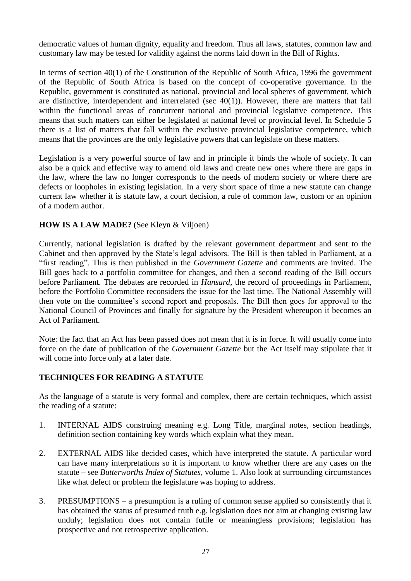democratic values of human dignity, equality and freedom. Thus all laws, statutes, common law and customary law may be tested for validity against the norms laid down in the Bill of Rights.

In terms of section 40(1) of the Constitution of the Republic of South Africa, 1996 the government of the Republic of South Africa is based on the concept of co-operative governance. In the Republic, government is constituted as national, provincial and local spheres of government, which are distinctive, interdependent and interrelated (sec 40(1)). However, there are matters that fall within the functional areas of concurrent national and provincial legislative competence. This means that such matters can either be legislated at national level or provincial level. In Schedule 5 there is a list of matters that fall within the exclusive provincial legislative competence, which means that the provinces are the only legislative powers that can legislate on these matters.

Legislation is a very powerful source of law and in principle it binds the whole of society. It can also be a quick and effective way to amend old laws and create new ones where there are gaps in the law, where the law no longer corresponds to the needs of modern society or where there are defects or loopholes in existing legislation. In a very short space of time a new statute can change current law whether it is statute law, a court decision, a rule of common law, custom or an opinion of a modern author.

### **HOW IS A LAW MADE?** (See Kleyn & Viljoen)

Currently, national legislation is drafted by the relevant government department and sent to the Cabinet and then approved by the State's legal advisors. The Bill is then tabled in Parliament, at a "first reading". This is then published in the *Government Gazette* and comments are invited. The Bill goes back to a portfolio committee for changes, and then a second reading of the Bill occurs before Parliament. The debates are recorded in *Hansard*, the record of proceedings in Parliament, before the Portfolio Committee reconsiders the issue for the last time. The National Assembly will then vote on the committee's second report and proposals. The Bill then goes for approval to the National Council of Provinces and finally for signature by the President whereupon it becomes an Act of Parliament.

Note: the fact that an Act has been passed does not mean that it is in force. It will usually come into force on the date of publication of the *Government Gazette* but the Act itself may stipulate that it will come into force only at a later date.

### **TECHNIQUES FOR READING A STATUTE**

As the language of a statute is very formal and complex, there are certain techniques, which assist the reading of a statute:

- 1. INTERNAL AIDS construing meaning e.g. Long Title, marginal notes, section headings, definition section containing key words which explain what they mean.
- 2. EXTERNAL AIDS like decided cases, which have interpreted the statute. A particular word can have many interpretations so it is important to know whether there are any cases on the statute – see *Butterworths Index of Statutes*, volume 1. Also look at surrounding circumstances like what defect or problem the legislature was hoping to address.
- 3. PRESUMPTIONS a presumption is a ruling of common sense applied so consistently that it has obtained the status of presumed truth e.g. legislation does not aim at changing existing law unduly; legislation does not contain futile or meaningless provisions; legislation has prospective and not retrospective application.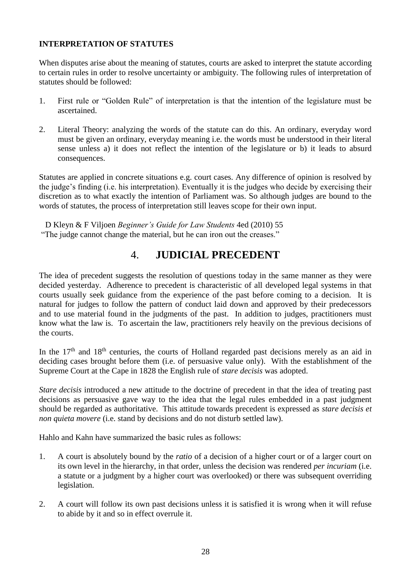### **INTERPRETATION OF STATUTES**

When disputes arise about the meaning of statutes, courts are asked to interpret the statute according to certain rules in order to resolve uncertainty or ambiguity. The following rules of interpretation of statutes should be followed:

- 1. First rule or "Golden Rule" of interpretation is that the intention of the legislature must be ascertained.
- 2. Literal Theory: analyzing the words of the statute can do this. An ordinary, everyday word must be given an ordinary, everyday meaning i.e. the words must be understood in their literal sense unless a) it does not reflect the intention of the legislature or b) it leads to absurd consequences.

Statutes are applied in concrete situations e.g. court cases. Any difference of opinion is resolved by the judge's finding (i.e. his interpretation). Eventually it is the judges who decide by exercising their discretion as to what exactly the intention of Parliament was. So although judges are bound to the words of statutes, the process of interpretation still leaves scope for their own input.

D Kleyn & F Viljoen *Beginner's Guide for Law Students* 4ed (2010) 55 "The judge cannot change the material, but he can iron out the creases."

### 4. **JUDICIAL PRECEDENT**

The idea of precedent suggests the resolution of questions today in the same manner as they were decided yesterday. Adherence to precedent is characteristic of all developed legal systems in that courts usually seek guidance from the experience of the past before coming to a decision. It is natural for judges to follow the pattern of conduct laid down and approved by their predecessors and to use material found in the judgments of the past. In addition to judges, practitioners must know what the law is. To ascertain the law, practitioners rely heavily on the previous decisions of the courts.

In the  $17<sup>th</sup>$  and  $18<sup>th</sup>$  centuries, the courts of Holland regarded past decisions merely as an aid in deciding cases brought before them (i.e. of persuasive value only). With the establishment of the Supreme Court at the Cape in 1828 the English rule of *stare decisis* was adopted.

*Stare decisis* introduced a new attitude to the doctrine of precedent in that the idea of treating past decisions as persuasive gave way to the idea that the legal rules embedded in a past judgment should be regarded as authoritative. This attitude towards precedent is expressed as *stare decisis et non quieta movere* (i.e. stand by decisions and do not disturb settled law).

Hahlo and Kahn have summarized the basic rules as follows:

- 1. A court is absolutely bound by the *ratio* of a decision of a higher court or of a larger court on its own level in the hierarchy, in that order, unless the decision was rendered *per incuriam* (i.e. a statute or a judgment by a higher court was overlooked) or there was subsequent overriding legislation.
- 2. A court will follow its own past decisions unless it is satisfied it is wrong when it will refuse to abide by it and so in effect overrule it.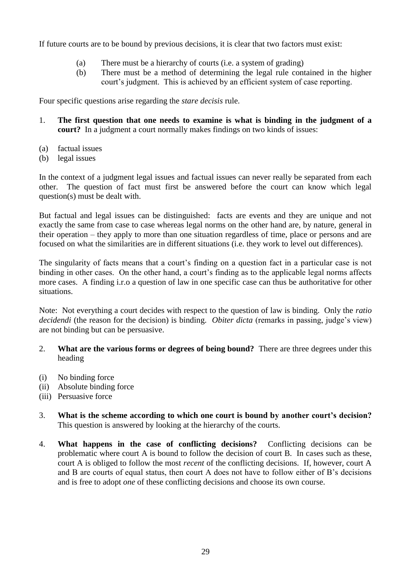If future courts are to be bound by previous decisions, it is clear that two factors must exist:

- (a) There must be a hierarchy of courts (i.e. a system of grading)
- (b) There must be a method of determining the legal rule contained in the higher court's judgment. This is achieved by an efficient system of case reporting.

Four specific questions arise regarding the *stare decisis* rule.

- 1. **The first question that one needs to examine is what is binding in the judgment of a court?** In a judgment a court normally makes findings on two kinds of issues:
- (a) factual issues
- (b) legal issues

In the context of a judgment legal issues and factual issues can never really be separated from each other. The question of fact must first be answered before the court can know which legal question(s) must be dealt with.

But factual and legal issues can be distinguished: facts are events and they are unique and not exactly the same from case to case whereas legal norms on the other hand are, by nature, general in their operation – they apply to more than one situation regardless of time, place or persons and are focused on what the similarities are in different situations (i.e. they work to level out differences).

The singularity of facts means that a court's finding on a question fact in a particular case is not binding in other cases. On the other hand, a court's finding as to the applicable legal norms affects more cases. A finding i.r.o a question of law in one specific case can thus be authoritative for other situations.

Note: Not everything a court decides with respect to the question of law is binding. Only the *ratio decidendi* (the reason for the decision) is binding. *Obiter dicta* (remarks in passing, judge's view) are not binding but can be persuasive.

- 2. **What are the various forms or degrees of being bound?** There are three degrees under this heading
- (i) No binding force
- (ii) Absolute binding force
- (iii) Persuasive force
- 3. **What is the scheme according to which one court is bound by another court's decision?** This question is answered by looking at the hierarchy of the courts.
- 4. **What happens in the case of conflicting decisions?** Conflicting decisions can be problematic where court A is bound to follow the decision of court B. In cases such as these, court A is obliged to follow the most *recent* of the conflicting decisions. If, however, court A and B are courts of equal status, then court A does not have to follow either of B's decisions and is free to adopt *one* of these conflicting decisions and choose its own course.